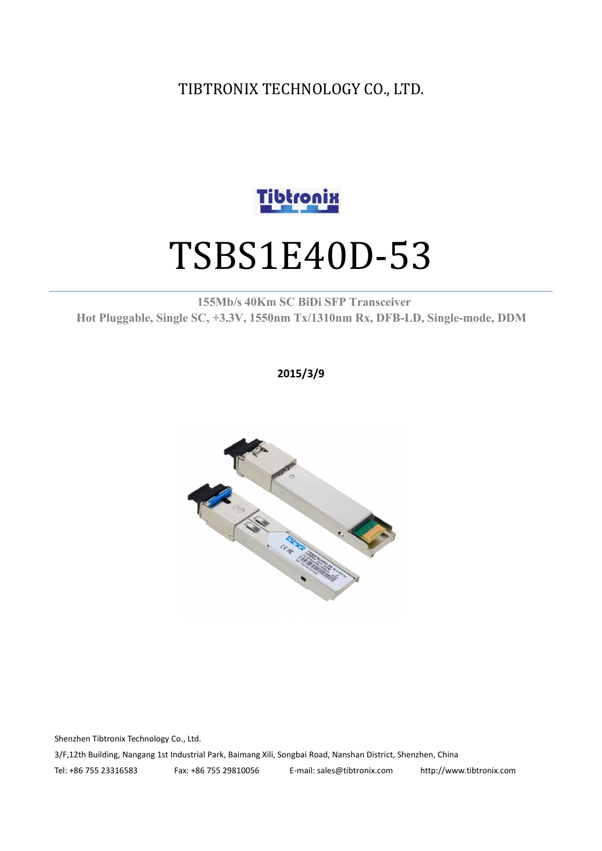TIBTRONIX TECHNOLOGY CO., LTD.



# TSBS1E40D-53

**155Mb/s 40Km SC BiDi SFP Transceiver Hot Pluggable, Single SC, +3.3V, 1550nm Tx/1310nm Rx, DFB-LD,Single-mode, DDM**

**2015/3/9**



Shenzhen Tibtronix Technology Co., Ltd. 3/F,12th Building, Nangang 1st Industrial Park, Baimang Xili, Songbai Road, Nanshan District, Shenzhen, China Tel: +86 755 23316583 Fax: +86 755 29810056 E-mail: sales@tibtronix.com http://www.tibtronix.com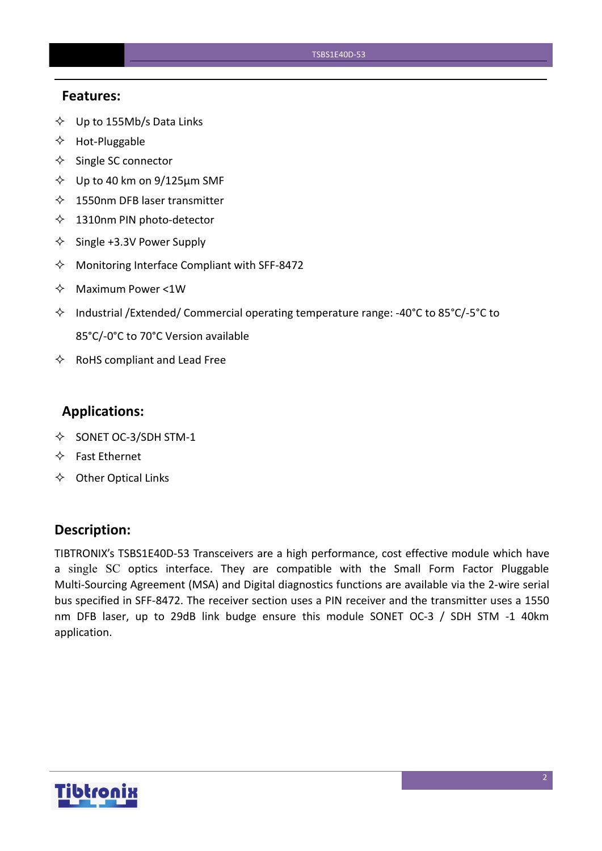#### **Features:**

- $\diamondsuit$  Up to 155Mb/s Data Links
- $\Leftrightarrow$  Hot-Pluggable
- $\diamondsuit$  Single SC connector
- $\diamond$  Up to 40 km on 9/125 µm SMF
- $\lozenge$  1550nm DFB laser transmitter
- $\diamondsuit$  1310nm PIN photo-detector
- $\diamond$  Single +3.3V Power Supply
- $\Diamond$  Monitoring Interface Compliant with SFF-8472
- $\Diamond$  Maximum Power <1W
- $\Diamond$  Industrial /Extended/ Commercial operating temperature range: -40°C to 85°C/-5°C to 85°C/-0°C to 70°C Version available
- $\Leftrightarrow$  RoHS compliant and Lead Free

#### **Applications:**

- $\diamond$  SONET OC-3/SDH STM-1
- $\Leftrightarrow$  Fast Ethernet
- $\Leftrightarrow$  Other Optical Links

#### **Description:**

TIBTRONIX's TSBS1E40D-53 Transceivers are a high performance, cost effective module which have a single SC optics interface. They are compatible with the Small Form Factor Pluggable Multi-Sourcing Agreement (MSA) and Digital diagnostics functions are available via the 2-wire serial bus specified in SFF-8472. The receiver section uses a PIN receiver and the transmitter uses a 1550 nm DFB laser, up to 29dB link budge ensure this module SONET OC-3 / SDH STM -1 40km application.

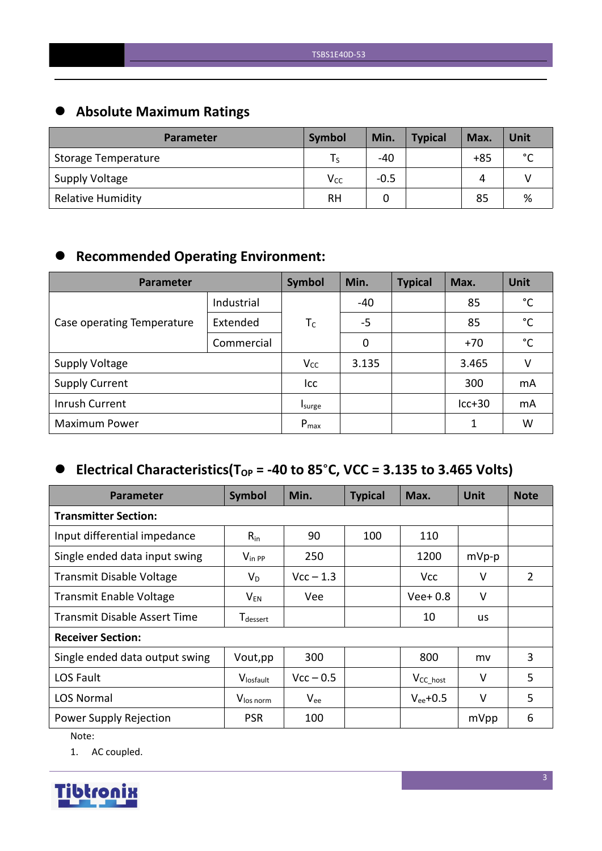# **Absolute Maximum Ratings**

| <b>Parameter</b>           | Symbol    | Min.   | <b>Typical</b> | Max.  | Unit        |
|----------------------------|-----------|--------|----------------|-------|-------------|
| <b>Storage Temperature</b> |           | $-40$  |                | $+85$ | $\sim$<br>◡ |
| <b>Supply Voltage</b>      | $V_{CC}$  | $-0.5$ |                | Δ     |             |
| <b>Relative Humidity</b>   | <b>RH</b> |        |                | 85    | %           |

# **Recommended Operating Environment:**

| Parameter                  | Symbol     | Min.      | <b>Typical</b> | Max. | Unit     |              |
|----------------------------|------------|-----------|----------------|------|----------|--------------|
|                            | Industrial |           | -40            |      | 85       | $^{\circ}$ C |
| Case operating Temperature | Extended   | $T_C$     | $-5$           |      | 85       | $^{\circ}$ C |
|                            | Commercial |           | 0              |      | $+70$    | $^{\circ}$ C |
| <b>Supply Voltage</b>      |            | $V_{CC}$  | 3.135          |      | 3.465    | v            |
| <b>Supply Current</b>      |            | Icc       |                |      | 300      | mA           |
| Inrush Current             |            | Isurge    |                |      | $lcc+30$ | mA           |
| <b>Maximum Power</b>       |            | $P_{max}$ |                |      | 1        | W            |

# $\bullet$  Electrical Characteristics(T<sub>OP</sub> = -40 to 85°C, VCC = 3.135 to 3.465 Volts)

| <b>Parameter</b>                    | Symbol                | Min.        | <b>Typical</b> | Max.           | <b>Unit</b> | <b>Note</b>    |
|-------------------------------------|-----------------------|-------------|----------------|----------------|-------------|----------------|
| <b>Transmitter Section:</b>         |                       |             |                |                |             |                |
| Input differential impedance        | $R_{in}$              | 90          | 100            | 110            |             |                |
| Single ended data input swing       | $V_{\text{in PP}}$    | 250         |                | 1200           | $mVp-p$     |                |
| <b>Transmit Disable Voltage</b>     | $V_D$                 | $Vcc - 1.3$ |                | <b>Vcc</b>     | V           | $\overline{2}$ |
| <b>Transmit Enable Voltage</b>      | $V_{EN}$              | Vee         |                | $Vee+0.8$      | $\vee$      |                |
| <b>Transmit Disable Assert Time</b> | T <sub>dessert</sub>  |             |                | 10             | <b>us</b>   |                |
| <b>Receiver Section:</b>            |                       |             |                |                |             |                |
| Single ended data output swing      | Vout, pp              | 300         |                | 800            | mv          | 3              |
| LOS Fault                           | Vlosfault             | $Vcc - 0.5$ |                | $V_{CC\_host}$ | V           | 5              |
| <b>LOS Normal</b>                   | V <sub>los norm</sub> | $V_{ee}$    |                | $V_{ee}$ +0.5  | V           | 5              |
| Power Supply Rejection              | <b>PSR</b>            | 100         |                |                | mVpp        | 6              |

Note:

1. AC coupled.

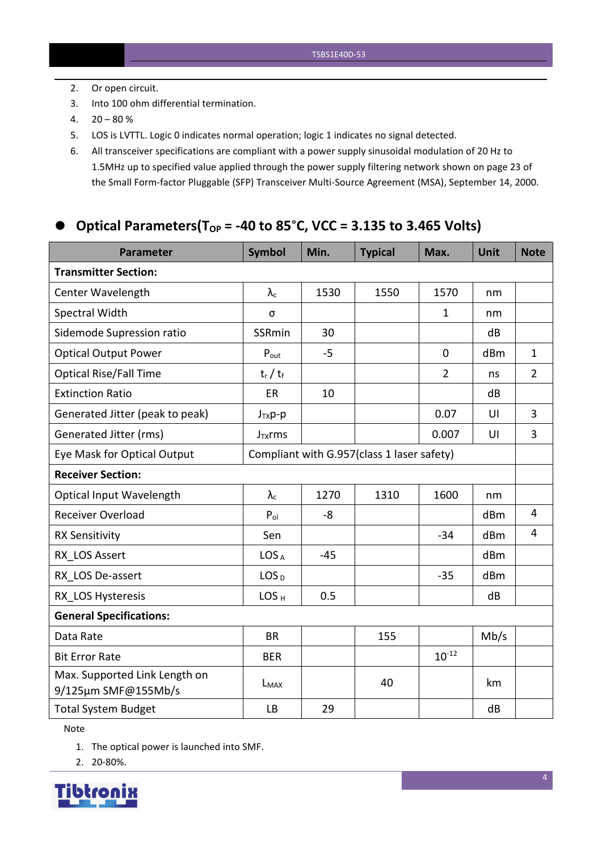- 2. Or open circuit.
- 3. Into 100 ohm differential termination.
- $4. \quad 20 80 \%$
- 5. LOS is LVTTL. Logic 0 indicates normal operation; logic 1 indicates no signal detected.
- 6. All transceiver specifications are compliant with a power supply sinusoidal modulation of 20 Hz to 1.5MHz up to specified value applied through the powersupply filtering network shown on page 23 of the Small Form-factor Pluggable (SFP) Transceiver Multi-Source Agreement (MSA), September 14, 2000.

## **Optical Parameters(TOP = -40 to 85**°**C, VCC = 3.135 to 3.465 Volts)**

| <b>Parameter</b>                                     | <b>Symbol</b>    | Min.  | <b>Typical</b>                             | Max.           | <b>Unit</b>     | <b>Note</b>    |
|------------------------------------------------------|------------------|-------|--------------------------------------------|----------------|-----------------|----------------|
| <b>Transmitter Section:</b>                          |                  |       |                                            |                |                 |                |
| Center Wavelength                                    | $\lambda_c$      | 1530  | 1550                                       | 1570           | nm              |                |
| Spectral Width                                       | σ                |       |                                            | $\mathbf{1}$   | nm              |                |
| Sidemode Supression ratio                            | SSRmin           | 30    |                                            |                | dB              |                |
| <b>Optical Output Power</b>                          | $P_{\text{out}}$ | $-5$  |                                            | $\mathbf 0$    | dBm             | $\mathbf{1}$   |
| <b>Optical Rise/Fall Time</b>                        | $t_r / t_f$      |       |                                            | $\overline{2}$ | ns              | $2^{\circ}$    |
| <b>Extinction Ratio</b>                              | ER               | 10    |                                            |                | dB              |                |
| Generated Jitter (peak to peak)                      | $J_{TX}p-p$      |       |                                            | 0.07           | UI              | $\overline{3}$ |
| Generated Jitter (rms)                               | $J_{TX}$ rms     |       |                                            | 0.007          | UI              | $\overline{3}$ |
| Eye Mask for Optical Output                          |                  |       | Compliant with G.957(class 1 laser safety) |                |                 |                |
| <b>Receiver Section:</b>                             |                  |       |                                            |                |                 |                |
| Optical Input Wavelength                             | $\lambda_c$      | 1270  | 1310                                       | 1600           | nm              |                |
| <b>Receiver Overload</b>                             | $P_{ol}$         | -8    |                                            |                | dBm             | $\overline{4}$ |
| <b>RX Sensitivity</b>                                | Sen              |       |                                            | $-34$          | dB <sub>m</sub> | $\overline{4}$ |
| RX LOS Assert                                        | LOS <sub>A</sub> | $-45$ |                                            |                | dBm             |                |
| RX LOS De-assert                                     | LOS <sub>D</sub> |       |                                            | $-35$          | dB <sub>m</sub> |                |
| RX LOS Hysteresis                                    | LOS <sub>H</sub> | 0.5   |                                            |                | dB              |                |
| <b>General Specifications:</b>                       |                  |       |                                            |                |                 |                |
| Data Rate                                            | <b>BR</b>        |       | 155                                        |                | Mb/s            |                |
| <b>Bit Error Rate</b>                                | <b>BER</b>       |       |                                            | $10^{-12}$     |                 |                |
| Max. Supported Link Length on<br>9/125µm SMF@155Mb/s | $L_{MAX}$        |       | 40                                         |                | km              |                |
| <b>Total System Budget</b>                           | LB               | 29    |                                            |                | dB              |                |

Note

1. The optical power is launched into SMF.

2. 20-80%.

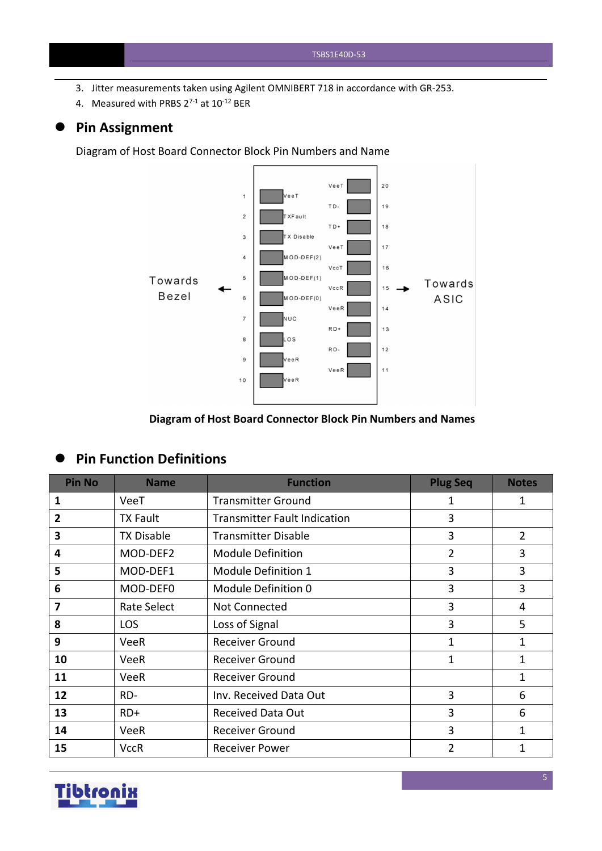- 3. Jitter measurements taken using Agilent OMNIBERT 718 in accordance with GR-253.
- 4. Measured with PRBS  $2^{7-1}$  at  $10^{-12}$  BER

#### **Pin Assignment**

Diagram of Host Board Connector Block Pin Numbers and Name



## **Diagram of Host Board Connector Block Pin Numbers and Names**

#### **Pin Function Definitions**

| <b>Pin No</b> | <b>Name</b>       | <b>Function</b>                     | <b>Plug Seq</b> | <b>Notes</b>   |
|---------------|-------------------|-------------------------------------|-----------------|----------------|
| 1             | VeeT              | <b>Transmitter Ground</b>           | 1               | 1              |
| 2             | <b>TX Fault</b>   | <b>Transmitter Fault Indication</b> | 3               |                |
| 3             | <b>TX Disable</b> | <b>Transmitter Disable</b>          | 3               | $\overline{2}$ |
| 4             | MOD-DEF2          | <b>Module Definition</b>            | $\overline{2}$  | 3              |
| 5             | MOD-DEF1          | Module Definition 1                 | 3               | 3              |
| 6             | MOD-DEF0          | Module Definition 0                 | 3               | 3              |
| 7             | Rate Select       | Not Connected                       | 3               | 4              |
| 8             | <b>LOS</b>        | Loss of Signal                      | 3               | 5              |
| 9             | <b>VeeR</b>       | <b>Receiver Ground</b>              | 1               | 1              |
| 10            | VeeR              | <b>Receiver Ground</b>              | 1               | 1              |
| 11            | <b>VeeR</b>       | <b>Receiver Ground</b>              |                 | 1              |
| 12            | RD-               | Inv. Received Data Out              | 3               | 6              |
| 13            | $RD+$             | <b>Received Data Out</b>            | 3               | 6              |
| 14            | <b>VeeR</b>       | <b>Receiver Ground</b>              | 3               | 1              |
| 15            | <b>VccR</b>       | <b>Receiver Power</b>               | $\overline{2}$  | 1              |

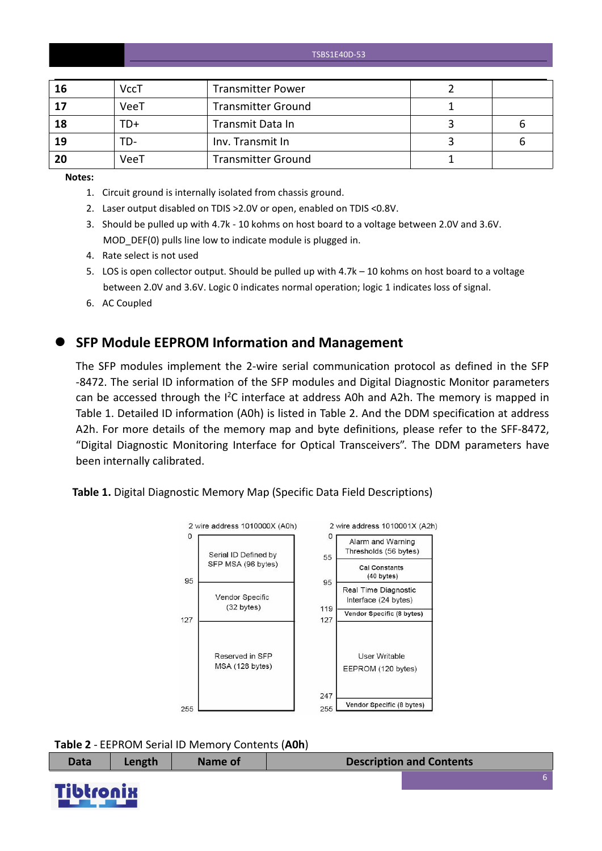| 16 | <b>VccT</b> | <b>Transmitter Power</b>  |   |
|----|-------------|---------------------------|---|
| 17 | VeeT        | <b>Transmitter Ground</b> |   |
| 18 | TD+         | Transmit Data In          | b |
| 19 | TD-         | Inv. Transmit In          | b |
| 20 | VeeT        | <b>Transmitter Ground</b> |   |

**Notes:**

- 1. Circuit ground is internally isolated from chassis ground.
- 2. Laser output disabled on TDIS >2.0V or open, enabled on TDIS <0.8V.
- 3. Should be pulled up with 4.7k 10 kohms on host board to a voltage between 2.0V and 3.6V. MOD DEF(0) pulls line low to indicate module is plugged in.
- 4. Rate select is not used
- 5. LOS is open collector output. Should be pulled up with 4.7k 10 kohms on host board to a voltage between 2.0V and 3.6V. Logic 0 indicates normal operation; logic 1 indicates loss of signal.
- 6. AC Coupled

#### **SFP Module EEPROM Information and Management**

The SFP modules implement the 2-wire serial communication protocol as defined in the SFP -8472. The serial ID information of the SFP modules and Digital Diagnostic Monitor parameters can be accessed through the  $I^2C$  interface at address A0h and A2h. The memory is mapped in Table 1. Detailed ID information (A0h) is listed in Table 2. And the DDM specification at address A2h. For more details of the memory map and byte definitions, please refer to the SFF-8472, "Digital Diagnostic Monitoring Interface for Optical Transceivers". The DDM parameters have been internally calibrated.

**Table 1.** Digital Diagnostic Memory Map (Specific Data Field Descriptions)



| <b>Data</b> | Length | <b>Name of</b> | <b>Description and Contents</b> |
|-------------|--------|----------------|---------------------------------|
|             |        |                |                                 |

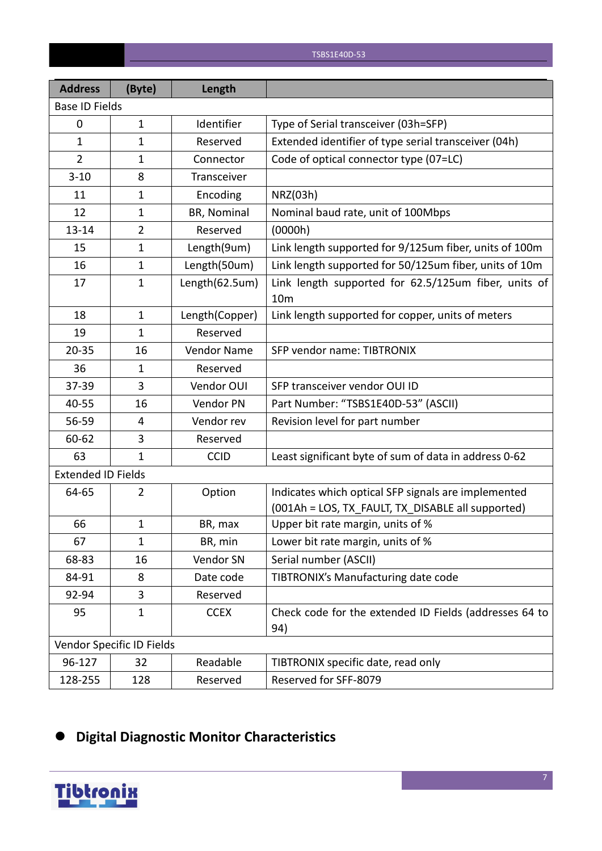| <b>Address</b>            | (Byte)                    | Length         |                                                                                                          |
|---------------------------|---------------------------|----------------|----------------------------------------------------------------------------------------------------------|
| <b>Base ID Fields</b>     |                           |                |                                                                                                          |
| 0                         | $\mathbf{1}$              | Identifier     | Type of Serial transceiver (03h=SFP)                                                                     |
| $\mathbf{1}$              | $\mathbf{1}$              | Reserved       | Extended identifier of type serial transceiver (04h)                                                     |
| $\overline{2}$            | $\mathbf{1}$              | Connector      | Code of optical connector type (07=LC)                                                                   |
| $3 - 10$                  | 8                         | Transceiver    |                                                                                                          |
| 11                        | $\mathbf{1}$              | Encoding       | NRZ(03h)                                                                                                 |
| 12                        | $\mathbf{1}$              | BR, Nominal    | Nominal baud rate, unit of 100Mbps                                                                       |
| $13 - 14$                 | $\overline{2}$            | Reserved       | (0000h)                                                                                                  |
| 15                        | $\mathbf{1}$              | Length(9um)    | Link length supported for 9/125um fiber, units of 100m                                                   |
| 16                        | $\mathbf{1}$              | Length(50um)   | Link length supported for 50/125um fiber, units of 10m                                                   |
| 17                        | $\mathbf{1}$              | Length(62.5um) | Link length supported for 62.5/125um fiber, units of<br>10 <sub>m</sub>                                  |
| 18                        | $\mathbf{1}$              | Length(Copper) | Link length supported for copper, units of meters                                                        |
| 19                        | $\mathbf{1}$              | Reserved       |                                                                                                          |
| $20 - 35$                 | 16                        | Vendor Name    | SFP vendor name: TIBTRONIX                                                                               |
| 36                        | 1                         | Reserved       |                                                                                                          |
| 37-39                     | 3                         | Vendor OUI     | SFP transceiver vendor OUI ID                                                                            |
| 40-55                     | 16                        | Vendor PN      | Part Number: "TSBS1E40D-53" (ASCII)                                                                      |
| 56-59                     | 4                         | Vendor rev     | Revision level for part number                                                                           |
| 60-62                     | 3                         | Reserved       |                                                                                                          |
| 63                        | $\mathbf{1}$              | <b>CCID</b>    | Least significant byte of sum of data in address 0-62                                                    |
| <b>Extended ID Fields</b> |                           |                |                                                                                                          |
| 64-65                     | $\overline{2}$            | Option         | Indicates which optical SFP signals are implemented<br>(001Ah = LOS, TX_FAULT, TX_DISABLE all supported) |
| 66                        | $\mathbf{1}$              | BR, max        | Upper bit rate margin, units of %                                                                        |
| 67                        | $\mathbf{1}$              | BR, min        | Lower bit rate margin, units of %                                                                        |
| 68-83                     | 16                        | Vendor SN      | Serial number (ASCII)                                                                                    |
| 84-91                     | 8                         | Date code      | TIBTRONIX's Manufacturing date code                                                                      |
| 92-94                     | 3                         | Reserved       |                                                                                                          |
| 95                        | $\mathbf{1}$              | <b>CCEX</b>    | Check code for the extended ID Fields (addresses 64 to<br>94)                                            |
|                           | Vendor Specific ID Fields |                |                                                                                                          |
| 96-127                    | 32                        | Readable       | TIBTRONIX specific date, read only                                                                       |
| 128-255                   | 128                       | Reserved       | Reserved for SFF-8079                                                                                    |

# **Digital Diagnostic Monitor Characteristics**

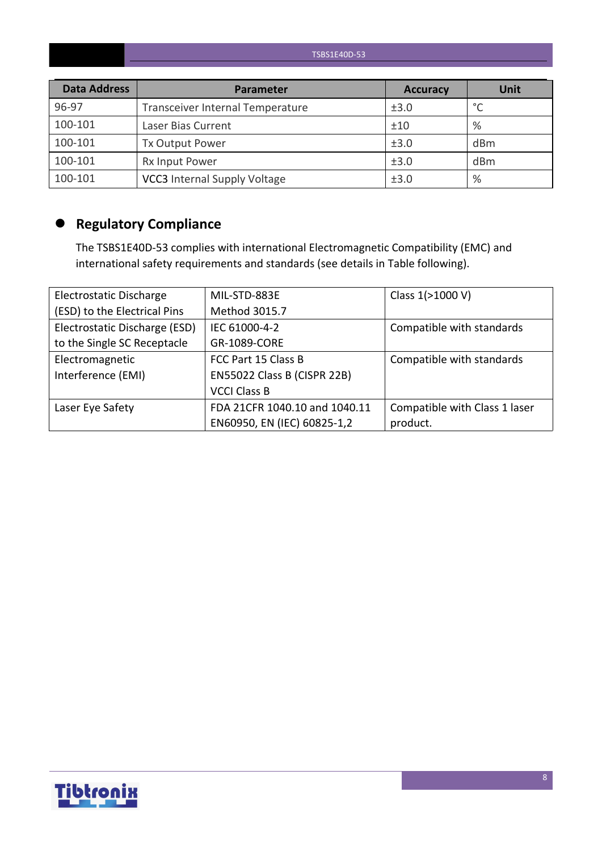| <b>Data Address</b> | Parameter                           | <b>Accuracy</b> | <b>Unit</b> |
|---------------------|-------------------------------------|-----------------|-------------|
| 96-97               | Transceiver Internal Temperature    | ±3.0            | $\circ$     |
| 100-101             | Laser Bias Current                  | ±10             | %           |
| 100-101             | Tx Output Power                     | ±3.0            | dBm         |
| 100-101             | Rx Input Power                      | ±3.0            | dBm         |
| 100-101             | <b>VCC3</b> Internal Supply Voltage | ±3.0            | %           |

# **Regulatory Compliance**

The TSBS1E40D-53 complies with international Electromagnetic Compatibility (EMC) and international safety requirements and standards (see details in Table following).

| Electrostatic Discharge       | MIL-STD-883E                  | Class 1(>1000 V)              |
|-------------------------------|-------------------------------|-------------------------------|
| (ESD) to the Electrical Pins  | Method 3015.7                 |                               |
| Electrostatic Discharge (ESD) | IEC 61000-4-2                 | Compatible with standards     |
| to the Single SC Receptacle   | GR-1089-CORE                  |                               |
| Electromagnetic               | FCC Part 15 Class B           | Compatible with standards     |
| Interference (EMI)            | EN55022 Class B (CISPR 22B)   |                               |
|                               | <b>VCCI Class B</b>           |                               |
| Laser Eye Safety              | FDA 21CFR 1040.10 and 1040.11 | Compatible with Class 1 laser |
|                               | EN60950, EN (IEC) 60825-1,2   | product.                      |

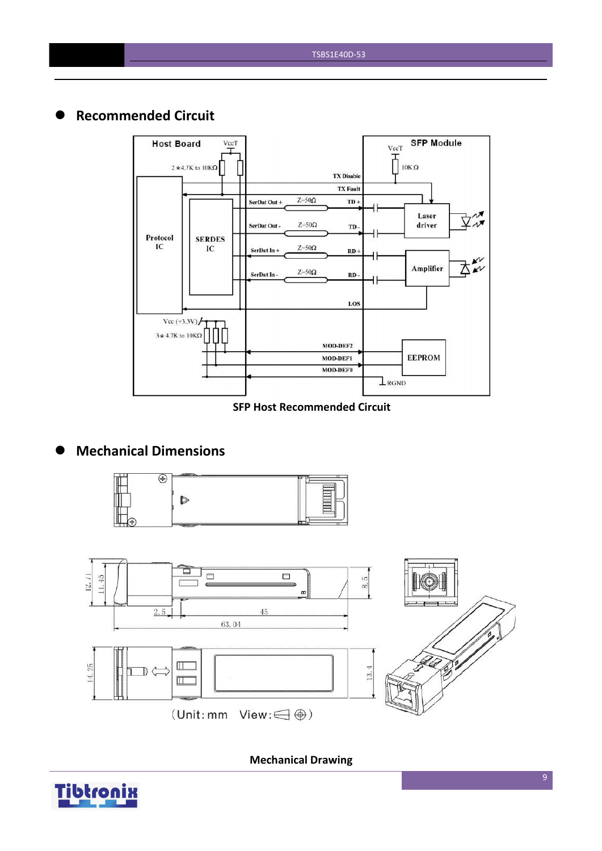## **Recommended Circuit**



#### **SFP Host Recommended Circuit**

## **Mechanical Dimensions**





**Mechanical Drawing**